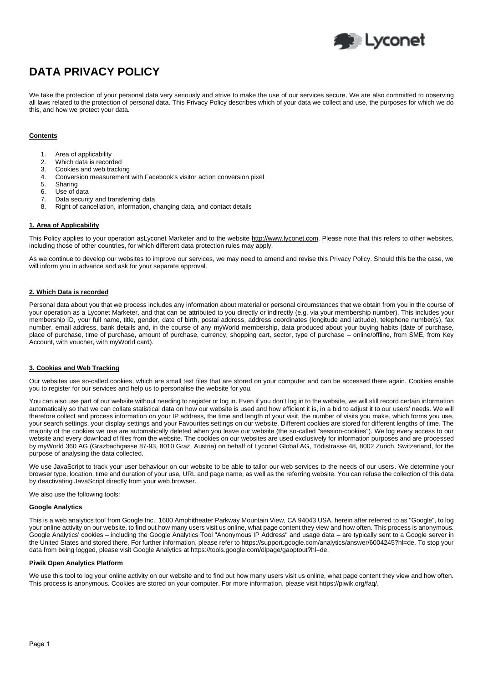

# **DATA PRIVACY POLICY**

We take the protection of your personal data very seriously and strive to make the use of our services secure. We are also committed to observing all laws related to the protection of personal data. This Privacy Policy describes which of your data we collect and use, the purposes for which we do this, and how we protect your data.

# **Contents**

- 1. Area of applicability
- 2. Which data is recorded
- 3. Cookies and web tracking
- 4. Conversion measurement with Facebook's visitor action conversion pixel<br>5. Sharing
- **Sharing**
- 6. Use of data
- 7. Data security and transferring data
- 8. Right of cancellation, information, changing data, and contact details

# **1. Area of Applicability**

This Policy applies to your operation asLyconet Marketer and to the website [http://www.lyconet.com.](http://www.lyconet.com/) Please note that this refers to other websites, including those of other countries, for which different data protection rules may apply.

As we continue to develop our websites to improve our services, we may need to amend and revise this Privacy Policy. Should this be the case, we will inform you in advance and ask for your separate approval.

## **2. Which Data is recorded**

Personal data about you that we process includes any information about material or personal circumstances that we obtain from you in the course of your operation as a Lyconet Marketer, and that can be attributed to you directly or indirectly (e.g. via your membership number). This includes your membership ID, your full name, title, gender, date of birth, postal address, address coordinates (longitude and latitude), telephone number(s), fax number, email address, bank details and, in the course of any myWorld membership, data produced about your buying habits (date of purchase, place of purchase, time of purchase, amount of purchase, currency, shopping cart, sector, type of purchase – online/offline, from SME, from Key Account, with voucher, with myWorld card).

# **3. Cookies and Web Tracking**

Our websites use so-called cookies, which are small text files that are stored on your computer and can be accessed there again. Cookies enable you to register for our services and help us to personalise the website for you.

You can also use part of our website without needing to register or log in. Even if you don't log in to the website, we will still record certain information automatically so that we can collate statistical data on how our website is used and how efficient it is, in a bid to adjust it to our users' needs. We will therefore collect and process information on your IP address, the time and length of your visit, the number of visits you make, which forms you use, your search settings, your display settings and your Favourites settings on our website. Different cookies are stored for different lengths of time. The majority of the cookies we use are automatically deleted when you leave our website (the so-called "session-cookies"). We log every access to our website and every download of files from the website. The cookies on our websites are used exclusively for information purposes and are processed by myWorld 360 AG (Grazbachgasse 87-93, 8010 Graz, Austria) on behalf of Lyconet Global AG, Tödistrasse 48, 8002 Zurich, Switzerland, for the purpose of analysing the data collected.

We use JavaScript to track your user behaviour on our website to be able to tailor our web services to the needs of our users. We determine your browser type, location, time and duration of your use, URL and page name, as well as the referring website. You can refuse the collection of this data by deactivating JavaScript directly from your web browser.

We also use the following tools:

## **Google Analytics**

This is a web analytics tool from Google Inc., 1600 Amphitheater Parkway Mountain View, CA 94043 USA, herein after referred to as "Google", to log your online activity on our website, to find out how many users visit us online, what page content they view and how often. This process is anonymous. Google Analytics' cookies – including the Google Analytics Tool "Anonymous IP Address" and usage data – are typically sent to a Google server in the United States and stored there. For further information, please refer to https://support.google.com/analytics/answer/6004245?hl=de. To stop your data from being logged, please visit Google Analytics at https://tools.google.com/dlpage/gaoptout?hl=de.

#### **Piwik Open Analytics Platform**

We use this tool to log your online activity on our website and to find out how many users visit us online, what page content they view and how often. This process is anonymous. Cookies are stored on your computer. For more information, please visit https://piwik.org/faq/.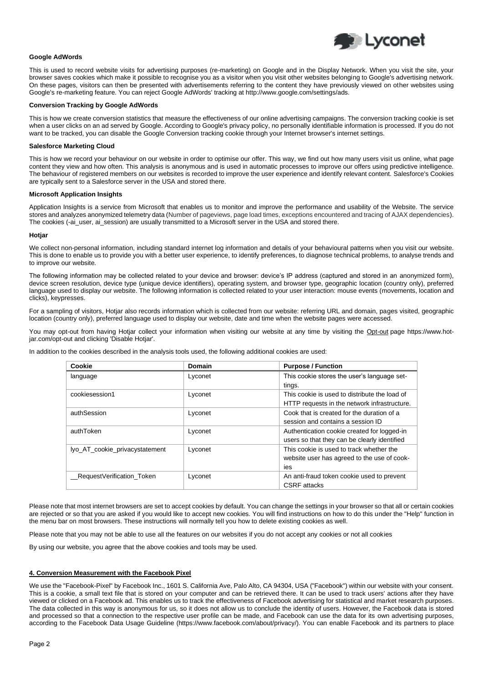

# **Google AdWords**

This is used to record website visits for advertising purposes (re-marketing) on Google and in the Display Network. When you visit the site, your browser saves cookies which make it possible to recognise you as a visitor when you visit other websites belonging to Google's advertising network. On these pages, visitors can then be presented with advertisements referring to the content they have previously viewed on other websites using Google's re-marketing feature. You can reject Google AdWords' tracking at http://www.google.com/settings/ads.

#### **Conversion Tracking by Google AdWords**

This is how we create conversion statistics that measure the effectiveness of our online advertising campaigns. The conversion tracking cookie is set when a user clicks on an ad served by Google. According to Google's privacy policy, no personally identifiable information is processed. If you do not want to be tracked, you can disable the Google Conversion tracking cookie through your Internet browser's internet settings.

#### **Salesforce Marketing Cloud**

This is how we record your behaviour on our website in order to optimise our offer. This way, we find out how many users visit us online, what page content they view and how often. This analysis is anonymous and is used in automatic processes to improve our offers using predictive intelligence. The behaviour of registered members on our websites is recorded to improve the user experience and identify relevant content. Salesforce's Cookies are typically sent to a Salesforce server in the USA and stored there.

#### **Microsoft Application Insights**

Application Insights is a service from Microsoft that enables us to monitor and improve the performance and usability of the Website. The service stores and analyzes anonymized telemetry data (Number of pageviews, page load times, exceptions encountered and tracing of AJAX dependencies). The cookies (-ai\_user, ai\_session) are usually transmitted to a Microsoft server in the USA and stored there.

#### **Hotjar**

We collect non-personal information, including standard internet log information and details of your behavioural patterns when you visit our website. This is done to enable us to provide you with a better user experience, to identify preferences, to diagnose technical problems, to analyse trends and to improve our website.

The following information may be collected related to your device and browser: device's IP address (captured and stored in an anonymized form), device screen resolution, device type (unique device identifiers), operating system, and browser type, geographic location (country only), preferred language used to display our website. The following information is collected related to your user interaction: mouse events (movements, location and clicks), keypresses.

For a sampling of visitors, Hotjar also records information which is collected from our website: referring URL and domain, pages visited, geographic location (country only), preferred language used to display our website, date and time when the website pages were accessed.

You may opt-out from having Hotjar collect your information when visiting our website at any time by visiting the [Opt-out](https://www.hotjar.com/opt-out) page https://www.hotjar.com/opt-out and clicking 'Disable Hotjar'.

In addition to the cookies described in the analysis tools used, the following additional cookies are used:

| Cookie                         | Domain  | <b>Purpose / Function</b>                     |
|--------------------------------|---------|-----------------------------------------------|
| language                       | Lyconet | This cookie stores the user's language set-   |
|                                |         | tings.                                        |
| cookiesession1                 | Lyconet | This cookie is used to distribute the load of |
|                                |         | HTTP requests in the network infrastructure.  |
| authSession                    | Lyconet | Cook that is created for the duration of a    |
|                                |         | session and contains a session ID             |
| authToken                      | Lyconet | Authentication cookie created for logged-in   |
|                                |         | users so that they can be clearly identified  |
| lyo_AT_cookie_privacystatement | Lyconet | This cookie is used to track whether the      |
|                                |         | website user has agreed to the use of cook-   |
|                                |         | ies                                           |
| RequestVerification Token      | Lyconet | An anti-fraud token cookie used to prevent    |
|                                |         | <b>CSRF</b> attacks                           |

Please note that most internet browsers are set to accept cookies by default. You can change the settings in your browser so that all or certain cookies are rejected or so that you are asked if you would like to accept new cookies. You will find instructions on how to do this under the "Help" function in the menu bar on most browsers. These instructions will normally tell you how to delete existing cookies as well.

Please note that you may not be able to use all the features on our websites if you do not accept any cookies or not all cookies

By using our website, you agree that the above cookies and tools may be used.

#### **4. Conversion Measurement with the Facebook Pixel**

We use the "Facebook-Pixel" by Facebook Inc., 1601 S. California Ave, Palo Alto, CA 94304, USA ("Facebook") within our website with your consent. This is a cookie, a small text file that is stored on your computer and can be retrieved there. It can be used to track users' actions after they have viewed or clicked on a Facebook ad. This enables us to track the effectiveness of Facebook advertising for statistical and market research purposes. The data collected in this way is anonymous for us, so it does not allow us to conclude the identity of users. However, the Facebook data is stored and processed so that a connection to the respective user profile can be made, and Facebook can use the data for its own advertising purposes, according to the Facebook Data Usage Guideline (https://www.facebook.com/about/privacy/). You can enable Facebook and its partners to place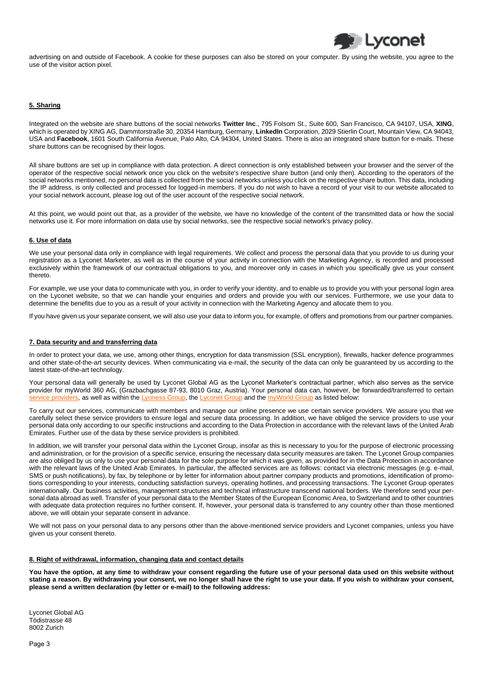advertising on and outside of Facebook. A cookie for these purposes can also be stored on your computer. By using the website, you agree to the use of the visitor action pixel.

**D** Lyconet

# **5. Sharing**

Integrated on the website are share buttons of the social networks **Twitter Inc**., 795 Folsom St., Suite 600, San Francisco, CA 94107, USA, **XING**, which is operated by XING AG, Dammtorstraße 30, 20354 Hamburg, Germany, **LinkedIn** Corporation, 2029 Stierlin Court, Mountain View, CA 94043, USA and **Facebook**, 1601 South California Avenue, Palo Alto, CA 94304, United States. There is also an integrated share button for e-mails. These share buttons can be recognised by their logos.

All share buttons are set up in compliance with data protection. A direct connection is only established between your browser and the server of the operator of the respective social network once you click on the website's respective share button (and only then). According to the operators of the social networks mentioned, no personal data is collected from the social networks unless you click on the respective share button. This data, including the IP address, is only collected and processed for logged-in members. If you do not wish to have a record of your visit to our website allocated to your social network account, please log out of the user account of the respective social network.

At this point, we would point out that, as a provider of the website, we have no knowledge of the content of the transmitted data or how the social networks use it. For more information on data use by social networks, see the respective social network's privacy policy.

# **6. Use of data**

We use your personal data only in compliance with legal requirements. We collect and process the personal data that you provide to us during your registration as a Lyconet Marketer, as well as in the course of your activity in connection with the Marketing Agency, is recorded and processed exclusively within the framework of our contractual obligations to you, and moreover only in cases in which you specifically give us your consent thereto.

For example, we use your data to communicate with you, in order to verify your identity, and to enable us to provide you with your personal login area on the Lyconet website, so that we can handle your enquiries and orders and provide you with our services. Furthermore, we use your data to determine the benefits due to you as a result of your activity in connection with the Marketing Agency and allocate them to you.

If you have given us your separate consent, we will also use your data to inform you, for example, of offers and promotions from our partner companies.

# **7. Data security and and transferring data**

In order to protect your data, we use, among other things, encryption for data transmission (SSL encryption), firewalls, hacker defence programmes and other state-of-the-art security devices. When communicating via e-mail, the security of the data can only be guaranteed by us according to the latest state-of-the-art technology.

Your personal data will generally be used by Lyconet Global AG as the Lyconet Marketer's contractual partner, which also serves as the service provider for myWorld 360 AG, (Grazbachgasse 87-93, 8010 Graz, Austria). Your personal data can, however, be forwarded/transferred to certain [service providers,](https://l.lyocdn.com/large/download/public/agreements/linksprivacypolicy/en-category-service-provider.pdf) as well as within th[e Lyoness Group,](https://l.lyocdn.com/large/download/public/agreements/linksprivacypolicy/en-lyoness-list-privacy-policy.pdf) th[e Lyconet Group](https://l.lyocdn.com/large/download/public/agreements/linksprivacypolicy/en-lyconet-list-privacy-policy.pdf) and the [myWorld Group](https://l.lyocdn.com/large/download/public/agreements/linksprivacypolicy/en-myworld-list-privacy-policy.pdf) as listed below:

To carry out our services, communicate with members and manage our online presence we use certain service providers. We assure you that we carefully select these service providers to ensure legal and secure data processing. In addition, we have obliged the service providers to use your personal data only according to our specific instructions and according to the Data Protection in accordance with the relevant laws of the United Arab Emirates. Further use of the data by these service providers is prohibited.

In addition, we will transfer your personal data within the Lyconet Group, insofar as this is necessary to you for the purpose of electronic processing and administration, or for the provision of a specific service, ensuring the necessary data security measures are taken. The Lyconet Group companies are also obliged by us only to use your personal data for the sole purpose for which it was given, as provided for in the Data Protection in accordance with the relevant laws of the United Arab Emirates. In particular, the affected services are as follows: contact via electronic messages (e.g. e-mail, SMS or push notifications), by fax, by telephone or by letter for information about partner company products and promotions, identification of promotions corresponding to your interests, conducting satisfaction surveys, operating hotlines, and processing transactions. The Lyconet Group operates internationally. Our business activities, management structures and technical infrastructure transcend national borders. We therefore send your personal data abroad as well. Transfer of your personal data to the Member States of the European Economic Area, to Switzerland and to other countries with adequate data protection requires no further consent. If, however, your personal data is transferred to any country other than those mentioned above, we will obtain your separate consent in advance.

We will not pass on your personal data to any persons other than the above-mentioned service providers and Lyconet companies, unless you have given us your consent thereto.

# **8. Right of withdrawal, information, changing data and contact details**

**You have the option, at any time to withdraw your consent regarding the future use of your personal data used on this website without stating a reason. By withdrawing your consent, we no longer shall have the right to use your data. If you wish to withdraw your consent, please send a written declaration (by letter or e-mail) to the following address:**

Lyconet Global AG Tödistrasse 48 8002 Zurich